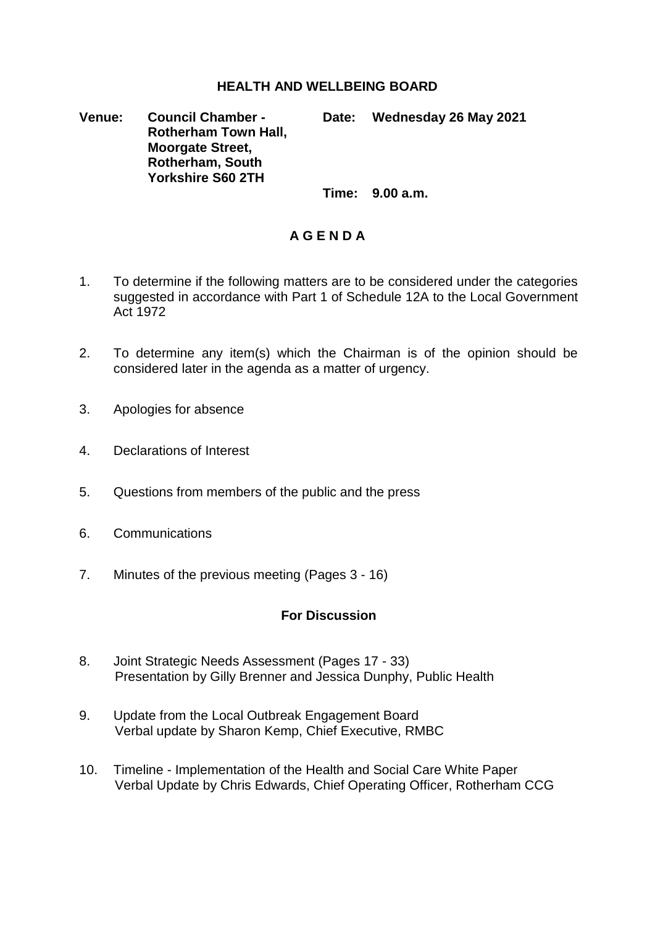## **HEALTH AND WELLBEING BOARD**

**Venue: Council Chamber - Rotherham Town Hall, Moorgate Street, Rotherham, South Yorkshire S60 2TH Date: Wednesday 26 May 2021**

**Time: 9.00 a.m.**

## **A G E N D A**

- 1. To determine if the following matters are to be considered under the categories suggested in accordance with Part 1 of Schedule 12A to the Local Government Act 1972
- 2. To determine any item(s) which the Chairman is of the opinion should be considered later in the agenda as a matter of urgency.
- 3. Apologies for absence
- 4. Declarations of Interest
- 5. Questions from members of the public and the press
- 6. Communications
- 7. Minutes of the previous meeting (Pages 3 16)

## **For Discussion**

- 8. Joint Strategic Needs Assessment (Pages 17 33) Presentation by Gilly Brenner and Jessica Dunphy, Public Health
- 9. Update from the Local Outbreak Engagement Board Verbal update by Sharon Kemp, Chief Executive, RMBC
- 10. Timeline Implementation of the Health and Social Care White Paper Verbal Update by Chris Edwards, Chief Operating Officer, Rotherham CCG